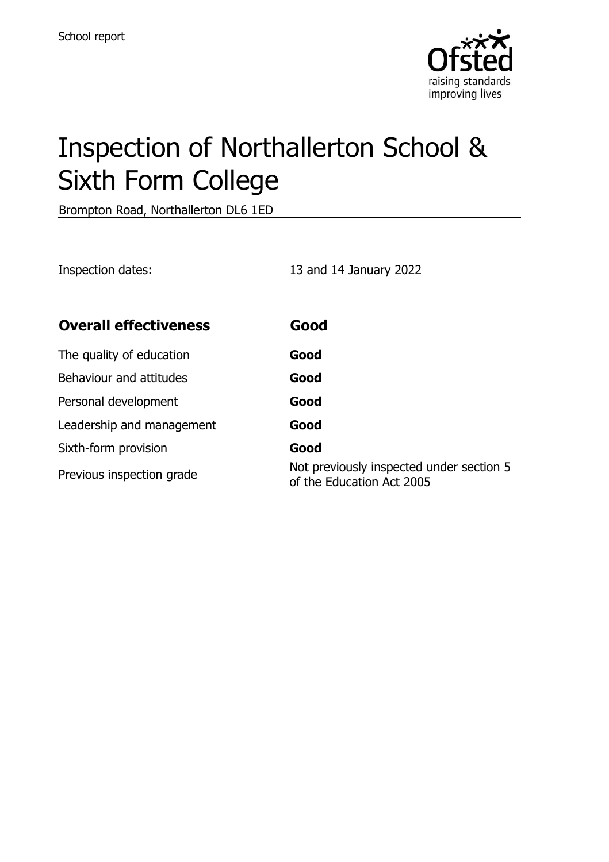

# Inspection of Northallerton School & Sixth Form College

Brompton Road, Northallerton DL6 1ED

Inspection dates: 13 and 14 January 2022

| <b>Overall effectiveness</b> | Good                                                                  |
|------------------------------|-----------------------------------------------------------------------|
| The quality of education     | Good                                                                  |
| Behaviour and attitudes      | Good                                                                  |
| Personal development         | Good                                                                  |
| Leadership and management    | Good                                                                  |
| Sixth-form provision         | Good                                                                  |
| Previous inspection grade    | Not previously inspected under section 5<br>of the Education Act 2005 |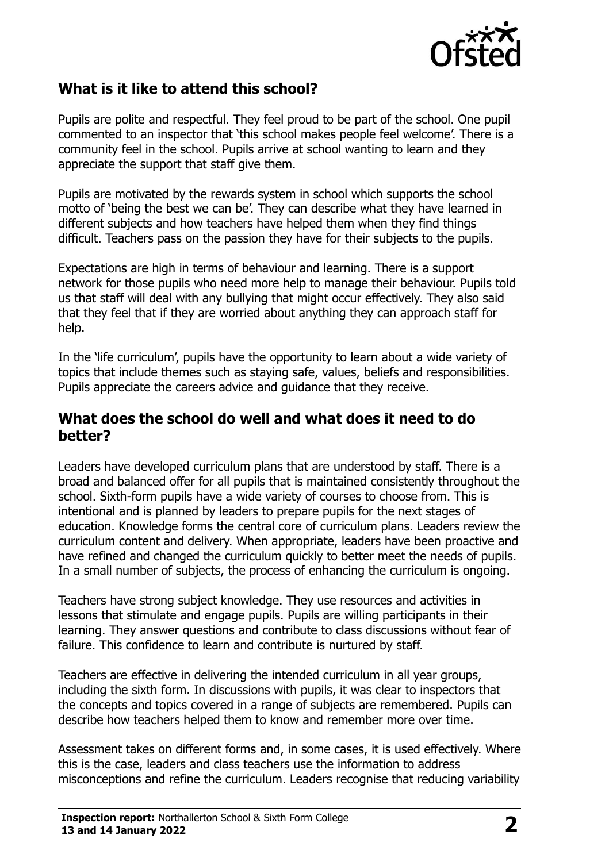

## **What is it like to attend this school?**

Pupils are polite and respectful. They feel proud to be part of the school. One pupil commented to an inspector that 'this school makes people feel welcome'. There is a community feel in the school. Pupils arrive at school wanting to learn and they appreciate the support that staff give them.

Pupils are motivated by the rewards system in school which supports the school motto of 'being the best we can be'. They can describe what they have learned in different subjects and how teachers have helped them when they find things difficult. Teachers pass on the passion they have for their subjects to the pupils.

Expectations are high in terms of behaviour and learning. There is a support network for those pupils who need more help to manage their behaviour. Pupils told us that staff will deal with any bullying that might occur effectively. They also said that they feel that if they are worried about anything they can approach staff for help.

In the 'life curriculum', pupils have the opportunity to learn about a wide variety of topics that include themes such as staying safe, values, beliefs and responsibilities. Pupils appreciate the careers advice and guidance that they receive.

#### **What does the school do well and what does it need to do better?**

Leaders have developed curriculum plans that are understood by staff. There is a broad and balanced offer for all pupils that is maintained consistently throughout the school. Sixth-form pupils have a wide variety of courses to choose from. This is intentional and is planned by leaders to prepare pupils for the next stages of education. Knowledge forms the central core of curriculum plans. Leaders review the curriculum content and delivery. When appropriate, leaders have been proactive and have refined and changed the curriculum quickly to better meet the needs of pupils. In a small number of subjects, the process of enhancing the curriculum is ongoing.

Teachers have strong subject knowledge. They use resources and activities in lessons that stimulate and engage pupils. Pupils are willing participants in their learning. They answer questions and contribute to class discussions without fear of failure. This confidence to learn and contribute is nurtured by staff.

Teachers are effective in delivering the intended curriculum in all year groups, including the sixth form. In discussions with pupils, it was clear to inspectors that the concepts and topics covered in a range of subjects are remembered. Pupils can describe how teachers helped them to know and remember more over time.

Assessment takes on different forms and, in some cases, it is used effectively. Where this is the case, leaders and class teachers use the information to address misconceptions and refine the curriculum. Leaders recognise that reducing variability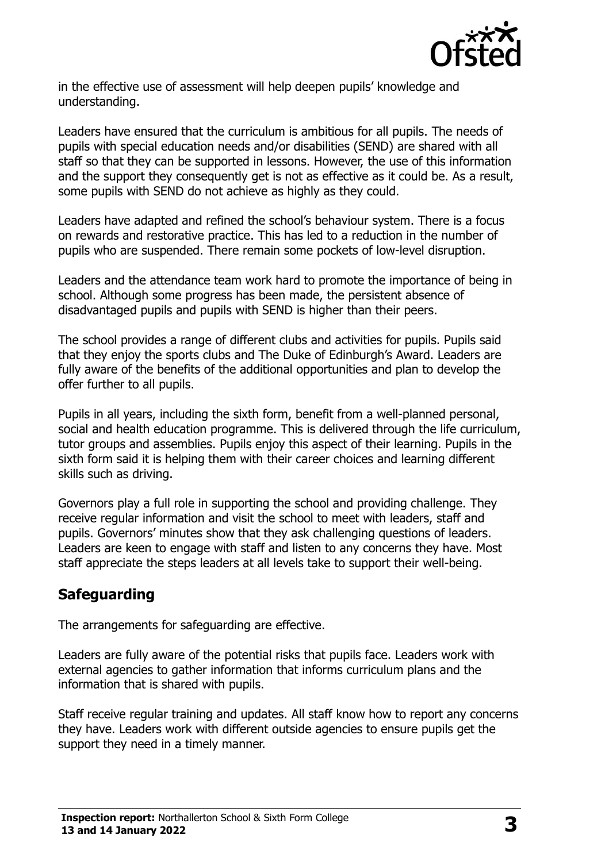

in the effective use of assessment will help deepen pupils' knowledge and understanding.

Leaders have ensured that the curriculum is ambitious for all pupils. The needs of pupils with special education needs and/or disabilities (SEND) are shared with all staff so that they can be supported in lessons. However, the use of this information and the support they consequently get is not as effective as it could be. As a result, some pupils with SEND do not achieve as highly as they could.

Leaders have adapted and refined the school's behaviour system. There is a focus on rewards and restorative practice. This has led to a reduction in the number of pupils who are suspended. There remain some pockets of low-level disruption.

Leaders and the attendance team work hard to promote the importance of being in school. Although some progress has been made, the persistent absence of disadvantaged pupils and pupils with SEND is higher than their peers.

The school provides a range of different clubs and activities for pupils. Pupils said that they enjoy the sports clubs and The Duke of Edinburgh's Award. Leaders are fully aware of the benefits of the additional opportunities and plan to develop the offer further to all pupils.

Pupils in all years, including the sixth form, benefit from a well-planned personal, social and health education programme. This is delivered through the life curriculum, tutor groups and assemblies. Pupils enjoy this aspect of their learning. Pupils in the sixth form said it is helping them with their career choices and learning different skills such as driving.

Governors play a full role in supporting the school and providing challenge. They receive regular information and visit the school to meet with leaders, staff and pupils. Governors' minutes show that they ask challenging questions of leaders. Leaders are keen to engage with staff and listen to any concerns they have. Most staff appreciate the steps leaders at all levels take to support their well-being.

## **Safeguarding**

The arrangements for safeguarding are effective.

Leaders are fully aware of the potential risks that pupils face. Leaders work with external agencies to gather information that informs curriculum plans and the information that is shared with pupils.

Staff receive regular training and updates. All staff know how to report any concerns they have. Leaders work with different outside agencies to ensure pupils get the support they need in a timely manner.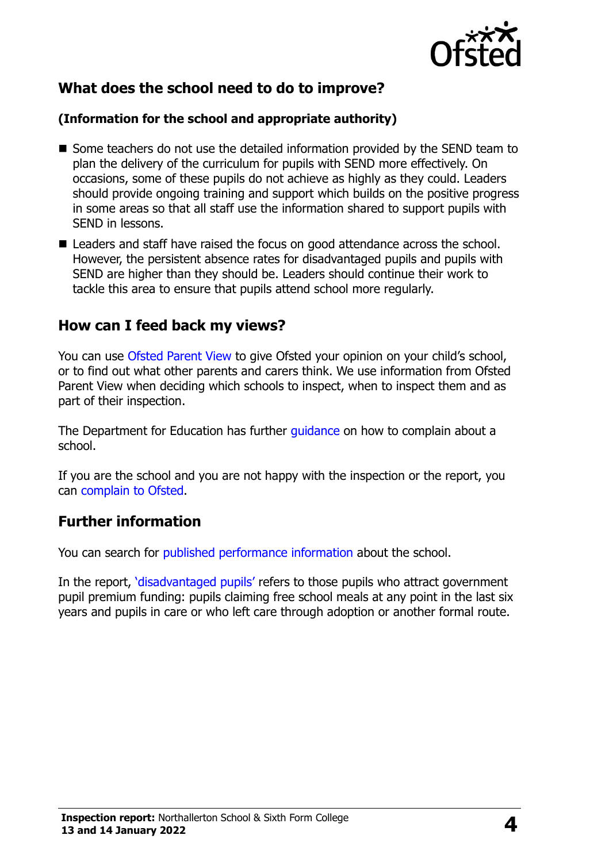

## **What does the school need to do to improve?**

#### **(Information for the school and appropriate authority)**

- Some teachers do not use the detailed information provided by the SEND team to plan the delivery of the curriculum for pupils with SEND more effectively. On occasions, some of these pupils do not achieve as highly as they could. Leaders should provide ongoing training and support which builds on the positive progress in some areas so that all staff use the information shared to support pupils with SEND in lessons.
- Leaders and staff have raised the focus on good attendance across the school. However, the persistent absence rates for disadvantaged pupils and pupils with SEND are higher than they should be. Leaders should continue their work to tackle this area to ensure that pupils attend school more regularly.

### **How can I feed back my views?**

You can use [Ofsted Parent View](http://parentview.ofsted.gov.uk/) to give Ofsted your opinion on your child's school, or to find out what other parents and carers think. We use information from Ofsted Parent View when deciding which schools to inspect, when to inspect them and as part of their inspection.

The Department for Education has further quidance on how to complain about a school.

If you are the school and you are not happy with the inspection or the report, you can [complain to Ofsted.](http://www.gov.uk/complain-ofsted-report)

#### **Further information**

You can search for [published performance information](http://www.compare-school-performance.service.gov.uk/) about the school.

In the report, '[disadvantaged pupils](http://www.gov.uk/guidance/pupil-premium-information-for-schools-and-alternative-provision-settings)' refers to those pupils who attract government pupil premium funding: pupils claiming free school meals at any point in the last six years and pupils in care or who left care through adoption or another formal route.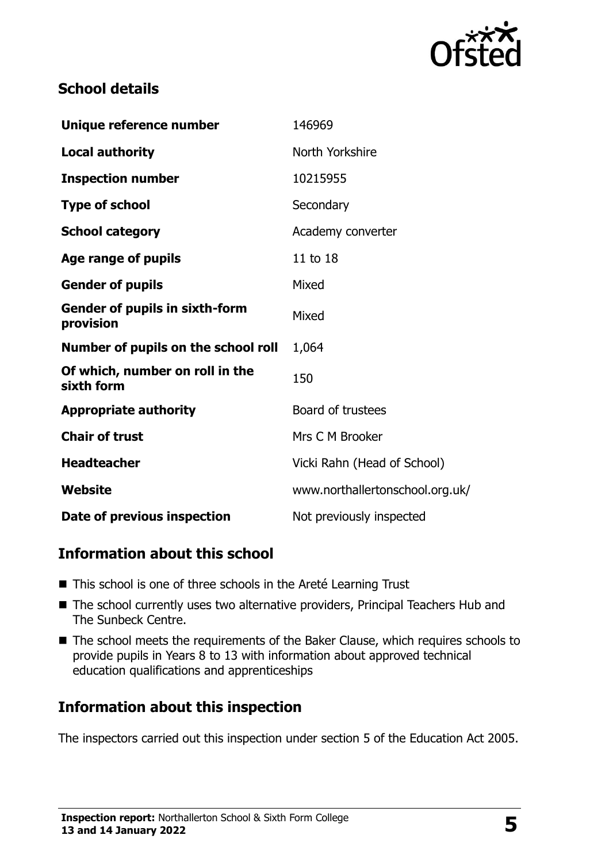

## **School details**

| Unique reference number                            | 146969                          |
|----------------------------------------------------|---------------------------------|
| <b>Local authority</b>                             | North Yorkshire                 |
| <b>Inspection number</b>                           | 10215955                        |
| <b>Type of school</b>                              | Secondary                       |
| <b>School category</b>                             | Academy converter               |
| Age range of pupils                                | 11 to 18                        |
| <b>Gender of pupils</b>                            | Mixed                           |
| <b>Gender of pupils in sixth-form</b><br>provision | Mixed                           |
| Number of pupils on the school roll                | 1,064                           |
| Of which, number on roll in the<br>sixth form      | 150                             |
| <b>Appropriate authority</b>                       | Board of trustees               |
| <b>Chair of trust</b>                              | Mrs C M Brooker                 |
| <b>Headteacher</b>                                 | Vicki Rahn (Head of School)     |
| Website                                            | www.northallertonschool.org.uk/ |
| Date of previous inspection                        | Not previously inspected        |

## **Information about this school**

- This school is one of three schools in the Areté Learning Trust
- The school currently uses two alternative providers, Principal Teachers Hub and The Sunbeck Centre.
- The school meets the requirements of the Baker Clause, which requires schools to provide pupils in Years 8 to 13 with information about approved technical education qualifications and apprenticeships

## **Information about this inspection**

The inspectors carried out this inspection under section 5 of the Education Act 2005.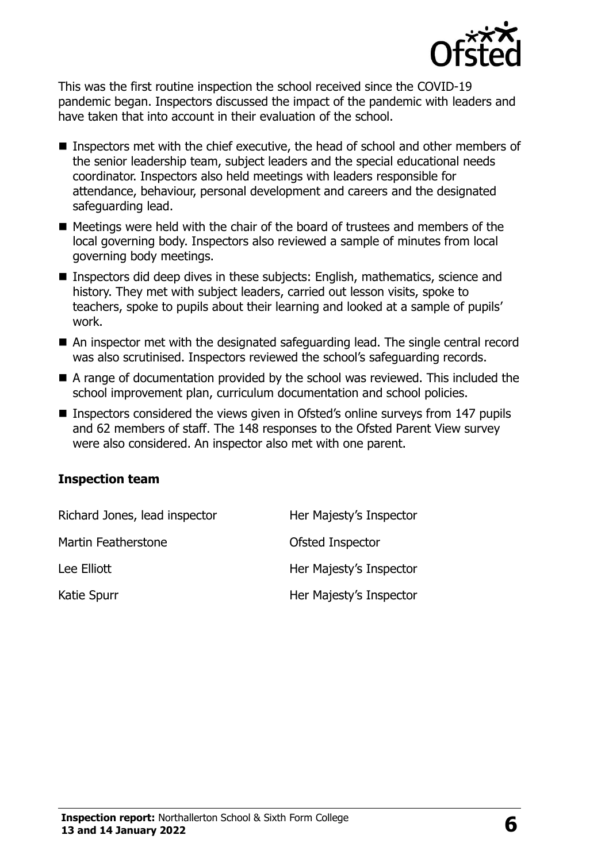

This was the first routine inspection the school received since the COVID-19 pandemic began. Inspectors discussed the impact of the pandemic with leaders and have taken that into account in their evaluation of the school.

- Inspectors met with the chief executive, the head of school and other members of the senior leadership team, subject leaders and the special educational needs coordinator. Inspectors also held meetings with leaders responsible for attendance, behaviour, personal development and careers and the designated safeguarding lead.
- Meetings were held with the chair of the board of trustees and members of the local governing body. Inspectors also reviewed a sample of minutes from local governing body meetings.
- Inspectors did deep dives in these subjects: English, mathematics, science and history. They met with subject leaders, carried out lesson visits, spoke to teachers, spoke to pupils about their learning and looked at a sample of pupils' work.
- An inspector met with the designated safeguarding lead. The single central record was also scrutinised. Inspectors reviewed the school's safeguarding records.
- A range of documentation provided by the school was reviewed. This included the school improvement plan, curriculum documentation and school policies.
- Inspectors considered the views given in Ofsted's online surveys from 147 pupils and 62 members of staff. The 148 responses to the Ofsted Parent View survey were also considered. An inspector also met with one parent.

#### **Inspection team**

| Richard Jones, lead inspector | Her Majesty's Inspector |
|-------------------------------|-------------------------|
| Martin Featherstone           | Ofsted Inspector        |
| Lee Elliott                   | Her Majesty's Inspector |
| Katie Spurr                   | Her Majesty's Inspector |